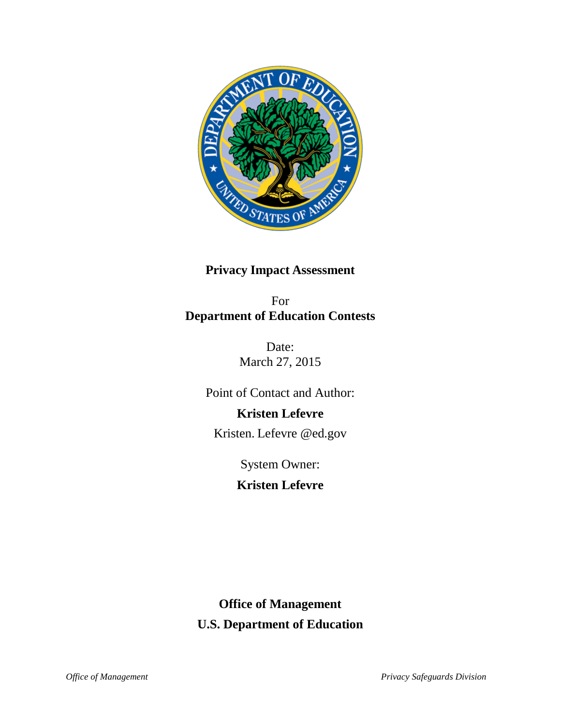

# **Privacy Impact Assessment**

For **Department of Education Contests**

> Date: March 27, 2015

Point of Contact and Author:

# **Kristen Lefevre**

Kristen. [Lefevre @ed.gov](mailto:Kristen.Rhinehart@ed.gov)

System Owner:

**Kristen Lefevre**

# **Office of Management U.S. Department of Education**

*Office of Management Privacy Safeguards Division*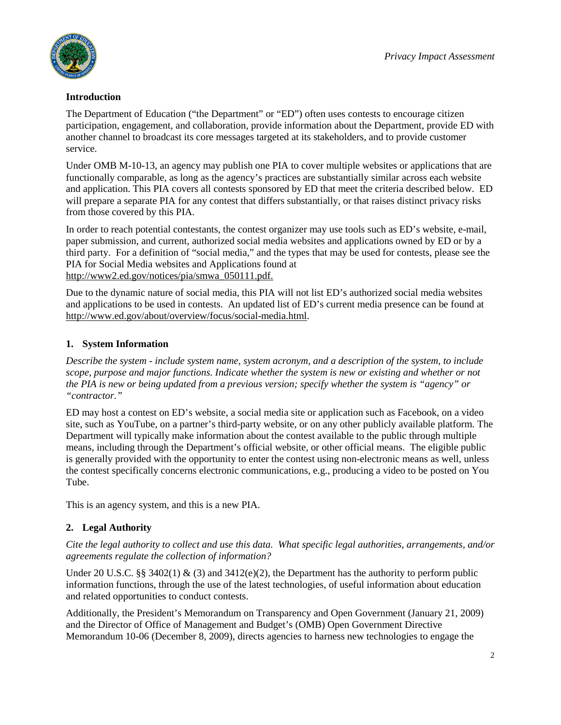

#### **Introduction**

The Department of Education ("the Department" or "ED") often uses contests to encourage citizen participation, engagement, and collaboration, provide information about the Department, provide ED with another channel to broadcast its core messages targeted at its stakeholders, and to provide customer service.

Under OMB M-10-13, an agency may publish one PIA to cover multiple websites or applications that are functionally comparable, as long as the agency's practices are substantially similar across each website and application. This PIA covers all contests sponsored by ED that meet the criteria described below. ED will prepare a separate PIA for any contest that differs substantially, or that raises distinct privacy risks from those covered by this PIA.

In order to reach potential contestants, the contest organizer may use tools such as ED's website, e-mail, paper submission, and current, authorized social media websites and applications owned by ED or by a third party. For a definition of "social media," and the types that may be used for contests, please see the PIA for Social Media websites and Applications found at [http://www2.ed.gov/notices/pia/smwa\\_050111.pdf.](http://www2.ed.gov/notices/pia/smwa_050111.pdf)

Due to the dynamic nature of social media, this PIA will not list ED's authorized social media websites and applications to be used in contests. An updated list of ED's current media presence can be found at [http://www.ed.gov/about/overview/focus/social-media.html.](http://www.ed.gov/about/overview/focus/social-media.html)

## **1. System Information**

*Describe the system - include system name, system acronym, and a description of the system, to include scope, purpose and major functions. Indicate whether the system is new or existing and whether or not the PIA is new or being updated from a previous version; specify whether the system is "agency" or "contractor."*

ED may host a contest on ED's website, a social media site or application such as Facebook, on a video site, such as YouTube, on a partner's third-party website, or on any other publicly available platform. The Department will typically make information about the contest available to the public through multiple means, including through the Department's official website, or other official means. The eligible public is generally provided with the opportunity to enter the contest using non-electronic means as well, unless the contest specifically concerns electronic communications, e.g., producing a video to be posted on You Tube.

This is an agency system, and this is a new PIA.

# **2. Legal Authority**

*Cite the legal authority to collect and use this data. What specific legal authorities, arrangements, and/or agreements regulate the collection of information?*

Under 20 U.S.C. §§ 3402(1) & (3) and 3412(e)(2), the Department has the authority to perform public information functions, through the use of the latest technologies, of useful information about education and related opportunities to conduct contests.

Additionally, the President's Memorandum on Transparency and Open Government (January 21, 2009) and the Director of Office of Management and Budget's (OMB) Open Government Directive Memorandum 10-06 (December 8, 2009), directs agencies to harness new technologies to engage the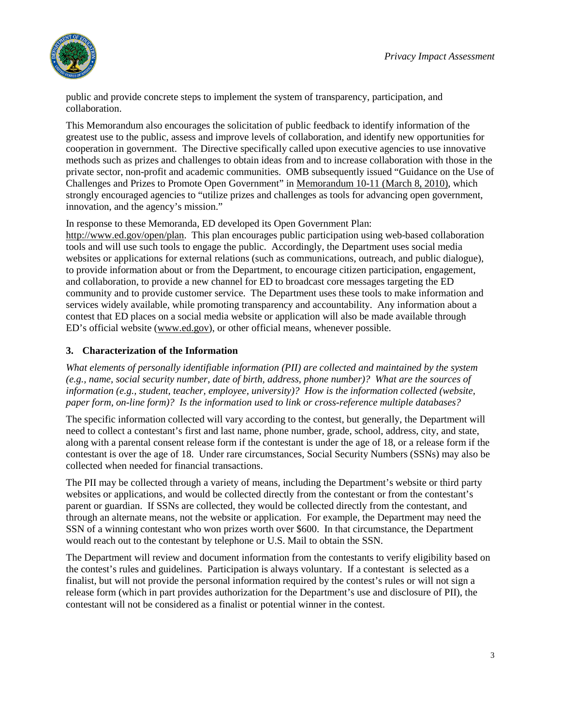

public and provide concrete steps to implement the system of transparency, participation, and collaboration.

This Memorandum also encourages the solicitation of public feedback to identify information of the greatest use to the public, assess and improve levels of collaboration, and identify new opportunities for cooperation in government. The Directive specifically called upon executive agencies to use innovative methods such as prizes and challenges to obtain ideas from and to increase collaboration with those in the private sector, non-profit and academic communities. OMB subsequently issued "Guidance on the Use of Challenges and Prizes to Promote Open Government" in [Memorandum 10-11 \(March 8, 2010\),](http://www.whitehouse.gov/sites/default/files/omb/assets/memoranda_2010/m10-11.pdf) which strongly encouraged agencies to "utilize prizes and challenges as tools for advancing open government, innovation, and the agency's mission."

In response to these Memoranda, ED developed its Open Government Plan:

[http://www.ed.gov/open/plan.](http://www.ed.gov/open/plan) This plan encourages public participation using web-based collaboration tools and will use such tools to engage the public. Accordingly, the Department uses social media websites or applications for external relations (such as communications, outreach, and public dialogue), to provide information about or from the Department, to encourage citizen participation, engagement, and collaboration, to provide a new channel for ED to broadcast core messages targeting the ED community and to provide customer service. The Department uses these tools to make information and services widely available, while promoting transparency and accountability. Any information about a contest that ED places on a social media website or application will also be made available through ED's official website [\(www.ed.gov\)](http://www.ed.gov/), or other official means, whenever possible.

#### **3. Characterization of the Information**

*What elements of personally identifiable information (PII) are collected and maintained by the system (e.g., name, social security number, date of birth, address, phone number)? What are the sources of information (e.g., student, teacher, employee, university)? How is the information collected (website, paper form, on-line form)? Is the information used to link or cross-reference multiple databases?*

The specific information collected will vary according to the contest, but generally, the Department will need to collect a contestant's first and last name, phone number, grade, school, address, city, and state, along with a parental consent release form if the contestant is under the age of 18, or a release form if the contestant is over the age of 18. Under rare circumstances, Social Security Numbers (SSNs) may also be collected when needed for financial transactions.

The PII may be collected through a variety of means, including the Department's website or third party websites or applications, and would be collected directly from the contestant or from the contestant's parent or guardian. If SSNs are collected, they would be collected directly from the contestant, and through an alternate means, not the website or application. For example, the Department may need the SSN of a winning contestant who won prizes worth over \$600. In that circumstance, the Department would reach out to the contestant by telephone or U.S. Mail to obtain the SSN.

The Department will review and document information from the contestants to verify eligibility based on the contest's rules and guidelines. Participation is always voluntary. If a contestant is selected as a finalist, but will not provide the personal information required by the contest's rules or will not sign a release form (which in part provides authorization for the Department's use and disclosure of PII), the contestant will not be considered as a finalist or potential winner in the contest.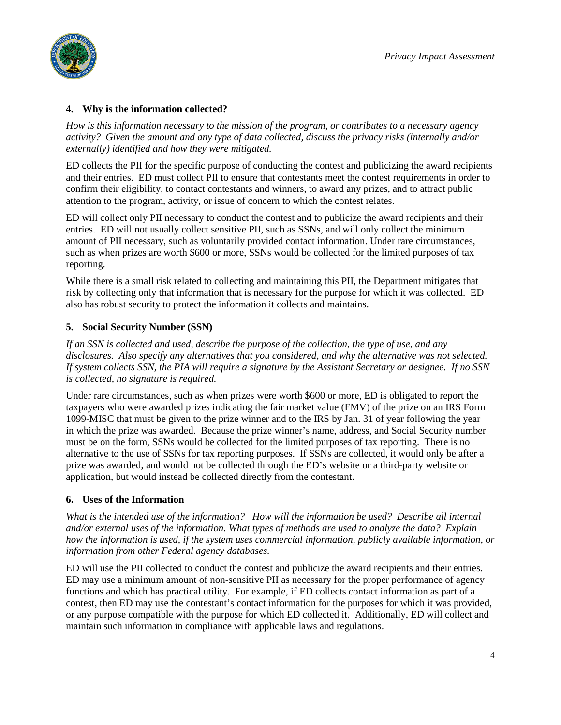



#### **4. Why is the information collected?**

*How is this information necessary to the mission of the program, or contributes to a necessary agency activity? Given the amount and any type of data collected, discuss the privacy risks (internally and/or externally) identified and how they were mitigated.*

ED collects the PII for the specific purpose of conducting the contest and publicizing the award recipients and their entries. ED must collect PII to ensure that contestants meet the contest requirements in order to confirm their eligibility, to contact contestants and winners, to award any prizes, and to attract public attention to the program, activity, or issue of concern to which the contest relates.

ED will collect only PII necessary to conduct the contest and to publicize the award recipients and their entries. ED will not usually collect sensitive PII, such as SSNs, and will only collect the minimum amount of PII necessary, such as voluntarily provided contact information. Under rare circumstances, such as when prizes are worth \$600 or more, SSNs would be collected for the limited purposes of tax reporting.

While there is a small risk related to collecting and maintaining this PII, the Department mitigates that risk by collecting only that information that is necessary for the purpose for which it was collected. ED also has robust security to protect the information it collects and maintains.

#### **5. Social Security Number (SSN)**

*If an SSN is collected and used, describe the purpose of the collection, the type of use, and any disclosures. Also specify any alternatives that you considered, and why the alternative was not selected. If system collects SSN, the PIA will require a signature by the Assistant Secretary or designee. If no SSN is collected, no signature is required.*

Under rare circumstances, such as when prizes were worth \$600 or more, ED is obligated to report the taxpayers who were awarded prizes indicating the fair market value (FMV) of the prize on an IRS Form 1099-MISC that must be given to the prize winner and to the IRS by Jan. 31 of year following the year in which the prize was awarded. Because the prize winner's name, address, and Social Security number must be on the form, SSNs would be collected for the limited purposes of tax reporting. There is no alternative to the use of SSNs for tax reporting purposes. If SSNs are collected, it would only be after a prize was awarded, and would not be collected through the ED's website or a third-party website or application, but would instead be collected directly from the contestant.

#### **6. Uses of the Information**

*What is the intended use of the information? How will the information be used? Describe all internal and/or external uses of the information. What types of methods are used to analyze the data? Explain how the information is used, if the system uses commercial information, publicly available information, or information from other Federal agency databases.*

ED will use the PII collected to conduct the contest and publicize the award recipients and their entries. ED may use a minimum amount of non-sensitive PII as necessary for the proper performance of agency functions and which has practical utility. For example, if ED collects contact information as part of a contest, then ED may use the contestant's contact information for the purposes for which it was provided, or any purpose compatible with the purpose for which ED collected it. Additionally, ED will collect and maintain such information in compliance with applicable laws and regulations.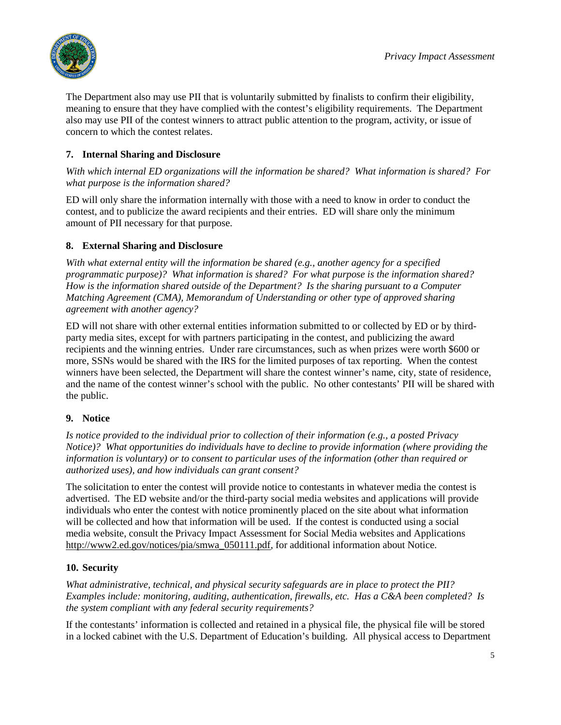

The Department also may use PII that is voluntarily submitted by finalists to confirm their eligibility, meaning to ensure that they have complied with the contest's eligibility requirements. The Department also may use PII of the contest winners to attract public attention to the program, activity, or issue of concern to which the contest relates.

# **7. Internal Sharing and Disclosure**

*With which internal ED organizations will the information be shared? What information is shared? For what purpose is the information shared?*

ED will only share the information internally with those with a need to know in order to conduct the contest, and to publicize the award recipients and their entries. ED will share only the minimum amount of PII necessary for that purpose.

## **8. External Sharing and Disclosure**

*With what external entity will the information be shared (e.g., another agency for a specified programmatic purpose)? What information is shared? For what purpose is the information shared? How is the information shared outside of the Department? Is the sharing pursuant to a Computer Matching Agreement (CMA), Memorandum of Understanding or other type of approved sharing agreement with another agency?*

ED will not share with other external entities information submitted to or collected by ED or by thirdparty media sites, except for with partners participating in the contest, and publicizing the award recipients and the winning entries. Under rare circumstances, such as when prizes were worth \$600 or more, SSNs would be shared with the IRS for the limited purposes of tax reporting. When the contest winners have been selected, the Department will share the contest winner's name, city, state of residence, and the name of the contest winner's school with the public. No other contestants' PII will be shared with the public.

## **9. Notice**

*Is notice provided to the individual prior to collection of their information (e.g., a posted Privacy Notice)? What opportunities do individuals have to decline to provide information (where providing the information is voluntary) or to consent to particular uses of the information (other than required or authorized uses), and how individuals can grant consent?* 

The solicitation to enter the contest will provide notice to contestants in whatever media the contest is advertised. The ED website and/or the third-party social media websites and applications will provide individuals who enter the contest with notice prominently placed on the site about what information will be collected and how that information will be used. If the contest is conducted using a social media website, consult the Privacy Impact Assessment for Social Media websites and Applications [http://www2.ed.gov/notices/pia/smwa\\_050111.pdf,](http://www2.ed.gov/notices/pia/smwa_050111.pdf) for additional information about Notice.

#### **10. Security**

*What administrative, technical, and physical security safeguards are in place to protect the PII? Examples include: monitoring, auditing, authentication, firewalls, etc. Has a C&A been completed? Is the system compliant with any federal security requirements?* 

If the contestants' information is collected and retained in a physical file, the physical file will be stored in a locked cabinet with the U.S. Department of Education's building. All physical access to Department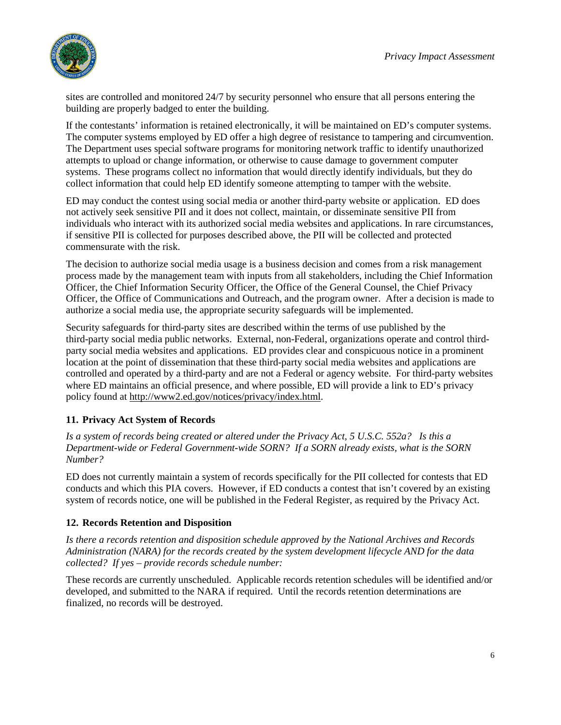

sites are controlled and monitored 24/7 by security personnel who ensure that all persons entering the building are properly badged to enter the building.

If the contestants' information is retained electronically, it will be maintained on ED's computer systems. The computer systems employed by ED offer a high degree of resistance to tampering and circumvention. The Department uses special software programs for monitoring network traffic to identify unauthorized attempts to upload or change information, or otherwise to cause damage to government computer systems. These programs collect no information that would directly identify individuals, but they do collect information that could help ED identify someone attempting to tamper with the website.

ED may conduct the contest using social media or another third-party website or application. ED does not actively seek sensitive PII and it does not collect, maintain, or disseminate sensitive PII from individuals who interact with its authorized social media websites and applications. In rare circumstances, if sensitive PII is collected for purposes described above, the PII will be collected and protected commensurate with the risk.

The decision to authorize social media usage is a business decision and comes from a risk management process made by the management team with inputs from all stakeholders, including the Chief Information Officer, the Chief Information Security Officer, the Office of the General Counsel, the Chief Privacy Officer, the Office of Communications and Outreach, and the program owner. After a decision is made to authorize a social media use, the appropriate security safeguards will be implemented.

Security safeguards for third-party sites are described within the terms of use published by the third-party social media public networks. External, non-Federal, organizations operate and control thirdparty social media websites and applications. ED provides clear and conspicuous notice in a prominent location at the point of dissemination that these third-party social media websites and applications are controlled and operated by a third-party and are not a Federal or agency website. For third-party websites where ED maintains an official presence, and where possible, ED will provide a link to ED's privacy policy found at [http://www2.ed.gov/notices/privacy/index.html.](http://www2.ed.gov/notices/privacy/index.html)

#### **11. Privacy Act System of Records**

*Is a system of records being created or altered under the Privacy Act, 5 U.S.C. 552a? Is this a Department-wide or Federal Government-wide SORN? If a SORN already exists, what is the SORN Number?* 

ED does not currently maintain a system of records specifically for the PII collected for contests that ED conducts and which this PIA covers. However, if ED conducts a contest that isn't covered by an existing system of records notice, one will be published in the Federal Register, as required by the Privacy Act.

#### **12. Records Retention and Disposition**

*Is there a records retention and disposition schedule approved by the National Archives and Records Administration (NARA) for the records created by the system development lifecycle AND for the data collected? If yes – provide records schedule number:*

These records are currently unscheduled. Applicable records retention schedules will be identified and/or developed, and submitted to the NARA if required. Until the records retention determinations are finalized, no records will be destroyed.